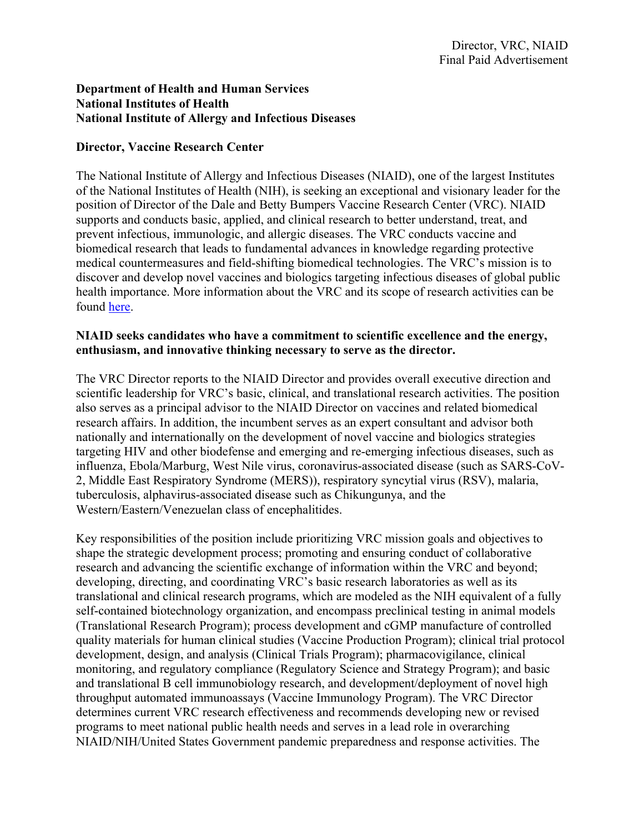## **Department of Health and Human Services National Institutes of Health National Institute of Allergy and Infectious Diseases**

## **Director, Vaccine Research Center**

The National Institute of Allergy and Infectious Diseases (NIAID), one of the largest Institutes of the National Institutes of Health (NIH), is seeking an exceptional and visionary leader for the position of Director of the Dale and Betty Bumpers Vaccine Research Center (VRC). NIAID supports and conducts basic, applied, and clinical research to better understand, treat, and prevent infectious, immunologic, and allergic diseases. The VRC conducts vaccine and biomedical research that leads to fundamental advances in knowledge regarding protective medical countermeasures and field-shifting biomedical technologies. The VRC's mission is to discover and develop novel vaccines and biologics targeting infectious diseases of global public health importance. More information about the VRC and its scope of research activities can be found here.

## **NIAID seeks candidates who have a commitment to scientific excellence and the energy, enthusiasm, and innovative thinking necessary to serve as the director.**

The VRC Director reports to the NIAID Director and provides overall executive direction and scientific leadership for VRC's basic, clinical, and translational research activities. The position also serves as a principal advisor to the NIAID Director on vaccines and related biomedical research affairs. In addition, the incumbent serves as an expert consultant and advisor both nationally and internationally on the development of novel vaccine and biologics strategies targeting HIV and other biodefense and emerging and re-emerging infectious diseases, such as influenza, Ebola/Marburg, West Nile virus, coronavirus-associated disease (such as SARS-CoV-2, Middle East Respiratory Syndrome (MERS)), respiratory syncytial virus (RSV), malaria, tuberculosis, alphavirus-associated disease such as Chikungunya, and the Western/Eastern/Venezuelan class of encephalitides.

Key responsibilities of the position include prioritizing VRC mission goals and objectives to shape the strategic development process; promoting and ensuring conduct of collaborative research and advancing the scientific exchange of information within the VRC and beyond; developing, directing, and coordinating VRC's basic research laboratories as well as its translational and clinical research programs, which are modeled as the NIH equivalent of a fully self-contained biotechnology organization, and encompass preclinical testing in animal models (Translational Research Program); process development and cGMP manufacture of controlled quality materials for human clinical studies (Vaccine Production Program); clinical trial protocol development, design, and analysis (Clinical Trials Program); pharmacovigilance, clinical monitoring, and regulatory compliance (Regulatory Science and Strategy Program); and basic and translational B cell immunobiology research, and development/deployment of novel high throughput automated immunoassays (Vaccine Immunology Program). The VRC Director determines current VRC research effectiveness and recommends developing new or revised programs to meet national public health needs and serves in a lead role in overarching NIAID/NIH/United States Government pandemic preparedness and response activities. The